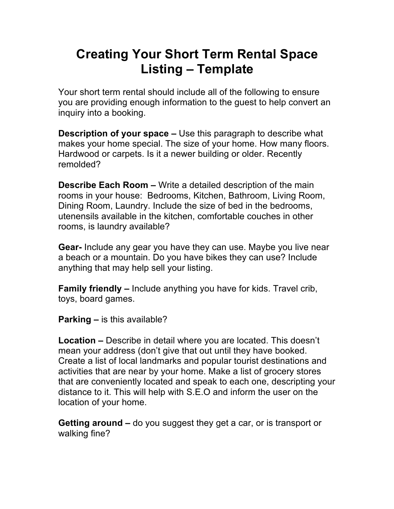## **Creating Your Short Term Rental Space Listing – Template**

Your short term rental should include all of the following to ensure you are providing enough information to the guest to help convert an inquiry into a booking.

**Description of your space –** Use this paragraph to describe what makes your home special. The size of your home. How many floors. Hardwood or carpets. Is it a newer building or older. Recently remolded?

**Describe Each Room –** Write a detailed description of the main rooms in your house: Bedrooms, Kitchen, Bathroom, Living Room, Dining Room, Laundry. Include the size of bed in the bedrooms, utenensils available in the kitchen, comfortable couches in other rooms, is laundry available?

**Gear-** Include any gear you have they can use. Maybe you live near a beach or a mountain. Do you have bikes they can use? Include anything that may help sell your listing.

**Family friendly –** Include anything you have for kids. Travel crib, toys, board games.

**Parking –** is this available?

**Location –** Describe in detail where you are located. This doesn't mean your address (don't give that out until they have booked. Create a list of local landmarks and popular tourist destinations and activities that are near by your home. Make a list of grocery stores that are conveniently located and speak to each one, descripting your distance to it. This will help with S.E.O and inform the user on the location of your home.

**Getting around –** do you suggest they get a car, or is transport or walking fine?